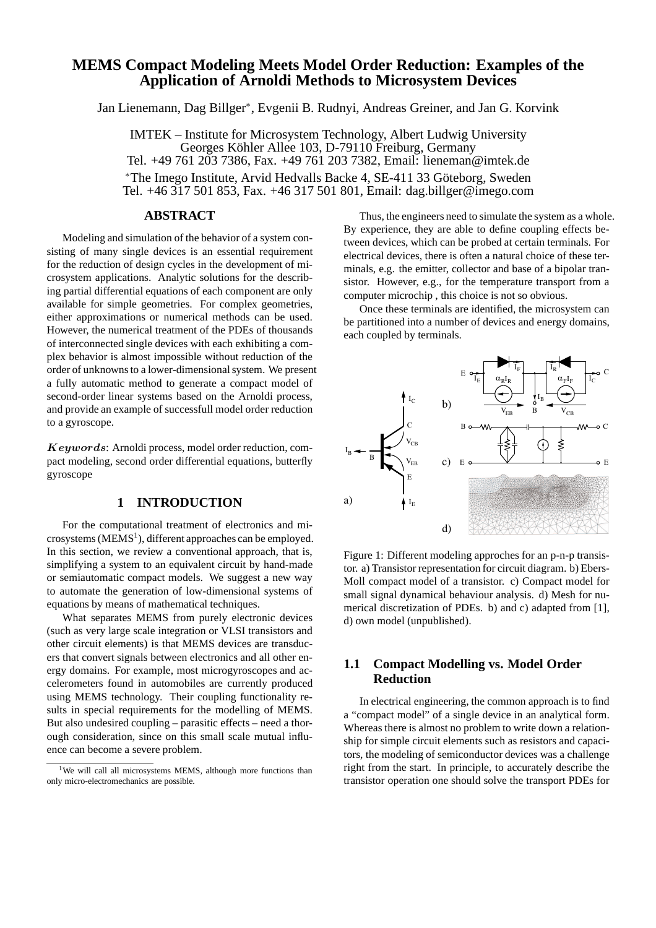# **MEMS Compact Modeling Meets Model Order Reduction: Examples of the Application of Arnoldi Methods to Microsystem Devices**

Jan Lienemann, Dag Billger<sup>∗</sup> , Evgenii B. Rudnyi, Andreas Greiner, and Jan G. Korvink

IMTEK – Institute for Microsystem Technology, Albert Ludwig University Georges Köhler Allee 103, D-79110 Freiburg, Germany Tel. +49 761 203 7386, Fax. +49 761 203 7382, Email: lieneman@imtek.de \*The Imego Institute, Arvid Hedvalls Backe 4, SE-411 33 Göteborg, Sweden Tel. +46 317 501 853, Fax. +46 317 501 801, Email: dag.billger@imego.com

# **ABSTRACT**

Modeling and simulation of the behavior of a system consisting of many single devices is an essential requirement for the reduction of design cycles in the development of microsystem applications. Analytic solutions for the describing partial differential equations of each component are only available for simple geometries. For complex geometries, either approximations or numerical methods can be used. However, the numerical treatment of the PDEs of thousands of interconnected single devices with each exhibiting a complex behavior is almost impossible without reduction of the order of unknowns to a lower-dimensional system. We present a fully automatic method to generate a compact model of second-order linear systems based on the Arnoldi process, and provide an example of successfull model order reduction to a gyroscope.

Keywords: Arnoldi process, model order reduction, compact modeling, second order differential equations, butterfly gyroscope

### **1 INTRODUCTION**

For the computational treatment of electronics and microsystems (MEMS<sup>1</sup>), different approaches can be employed. In this section, we review a conventional approach, that is, simplifying a system to an equivalent circuit by hand-made or semiautomatic compact models. We suggest a new way to automate the generation of low-dimensional systems of equations by means of mathematical techniques.

What separates MEMS from purely electronic devices (such as very large scale integration or VLSI transistors and other circuit elements) is that MEMS devices are transducers that convert signals between electronics and all other energy domains. For example, most microgyroscopes and accelerometers found in automobiles are currently produced using MEMS technology. Their coupling functionality results in special requirements for the modelling of MEMS. But also undesired coupling – parasitic effects – need a thorough consideration, since on this small scale mutual influence can become a severe problem.

Thus, the engineers need to simulate the system as a whole. By experience, they are able to define coupling effects between devices, which can be probed at certain terminals. For electrical devices, there is often a natural choice of these terminals, e.g. the emitter, collector and base of a bipolar transistor. However, e.g., for the temperature transport from a computer microchip , this choice is not so obvious.

Once these terminals are identified, the microsystem can be partitioned into a number of devices and energy domains, each coupled by terminals.



Figure 1: Different modeling approches for an p-n-p transistor. a) Transistor representation for circuit diagram. b) Ebers-Moll compact model of a transistor. c) Compact model for small signal dynamical behaviour analysis. d) Mesh for numerical discretization of PDEs. b) and c) adapted from [1], d) own model (unpublished).

# **1.1 Compact Modelling vs. Model Order Reduction**

In electrical engineering, the common approach is to find a "compact model" of a single device in an analytical form. Whereas there is almost no problem to write down a relationship for simple circuit elements such as resistors and capacitors, the modeling of semiconductor devices was a challenge right from the start. In principle, to accurately describe the transistor operation one should solve the transport PDEs for

<sup>&</sup>lt;sup>1</sup>We will call all microsystems MEMS, although more functions than only micro-electromechanics are possible.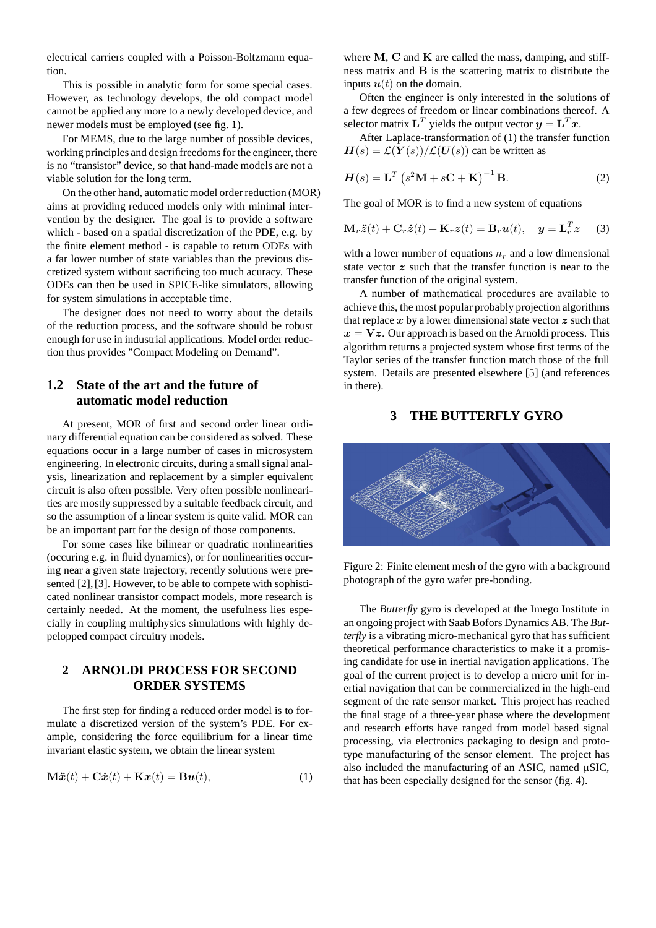electrical carriers coupled with a Poisson-Boltzmann equation.

This is possible in analytic form for some special cases. However, as technology develops, the old compact model cannot be applied any more to a newly developed device, and newer models must be employed (see fig. 1).

For MEMS, due to the large number of possible devices, working principles and design freedoms for the engineer, there is no "transistor" device, so that hand-made models are not a viable solution for the long term.

On the other hand, automatic model order reduction (MOR) aims at providing reduced models only with minimal intervention by the designer. The goal is to provide a software which - based on a spatial discretization of the PDE, e.g. by the finite element method - is capable to return ODEs with a far lower number of state variables than the previous discretized system without sacrificing too much acuracy. These ODEs can then be used in SPICE-like simulators, allowing for system simulations in acceptable time.

The designer does not need to worry about the details of the reduction process, and the software should be robust enough for use in industrial applications. Model order reduction thus provides "Compact Modeling on Demand".

## **1.2 State of the art and the future of automatic model reduction**

At present, MOR of first and second order linear ordinary differential equation can be considered as solved. These equations occur in a large number of cases in microsystem engineering. In electronic circuits, during a small signal analysis, linearization and replacement by a simpler equivalent circuit is also often possible. Very often possible nonlinearities are mostly suppressed by a suitable feedback circuit, and so the assumption of a linear system is quite valid. MOR can be an important part for the design of those components.

For some cases like bilinear or quadratic nonlinearities (occuring e.g. in fluid dynamics), or for nonlinearities occuring near a given state trajectory, recently solutions were presented [2], [3]. However, to be able to compete with sophisticated nonlinear transistor compact models, more research is certainly needed. At the moment, the usefulness lies especially in coupling multiphysics simulations with highly depelopped compact circuitry models.

# **2 ARNOLDI PROCESS FOR SECOND ORDER SYSTEMS**

The first step for finding a reduced order model is to formulate a discretized version of the system's PDE. For example, considering the force equilibrium for a linear time invariant elastic system, we obtain the linear system

$$
\mathbf{M}\ddot{\mathbf{x}}(t) + \mathbf{C}\dot{\mathbf{x}}(t) + \mathbf{K}\mathbf{x}(t) = \mathbf{B}\mathbf{u}(t),
$$
\n(1)

where  $M$ ,  $C$  and  $K$  are called the mass, damping, and stiffness matrix and B is the scattering matrix to distribute the inputs  $u(t)$  on the domain.

Often the engineer is only interested in the solutions of a few degrees of freedom or linear combinations thereof. A selector matrix  $\mathbf{L}^T$  yields the output vector  $\mathbf{y} = \mathbf{L}^T \mathbf{x}$ .

After Laplace-transformation of (1) the transfer function  $H(s) = \mathcal{L}(Y(s))/\mathcal{L}(U(s))$  can be written as

$$
H(s) = \mathbf{L}^T \left( s^2 \mathbf{M} + s \mathbf{C} + \mathbf{K} \right)^{-1} \mathbf{B}.
$$
 (2)

The goal of MOR is to find a new system of equations

$$
\mathbf{M}_r \ddot{\mathbf{z}}(t) + \mathbf{C}_r \dot{\mathbf{z}}(t) + \mathbf{K}_r \mathbf{z}(t) = \mathbf{B}_r \mathbf{u}(t), \quad \mathbf{y} = \mathbf{L}_r^T \mathbf{z} \tag{3}
$$

with a lower number of equations  $n_r$  and a low dimensional state vector  $z$  such that the transfer function is near to the transfer function of the original system.

A number of mathematical procedures are available to achieve this, the most popular probably projection algorithms that replace  $x$  by a lower dimensional state vector  $z$  such that  $x = Vz$ . Our approach is based on the Arnoldi process. This algorithm returns a projected system whose first terms of the Taylor series of the transfer function match those of the full system. Details are presented elsewhere [5] (and references in there).

## **3 THE BUTTERFLY GYRO**



Figure 2: Finite element mesh of the gyro with a background photograph of the gyro wafer pre-bonding.

The *Butterfly* gyro is developed at the Imego Institute in an ongoing project with Saab Bofors Dynamics AB. The *Butterfly* is a vibrating micro-mechanical gyro that has sufficient theoretical performance characteristics to make it a promising candidate for use in inertial navigation applications. The goal of the current project is to develop a micro unit for inertial navigation that can be commercialized in the high-end segment of the rate sensor market. This project has reached the final stage of a three-year phase where the development and research efforts have ranged from model based signal processing, via electronics packaging to design and prototype manufacturing of the sensor element. The project has also included the manufacturing of an ASIC, named  $\mu$ SIC, that has been especially designed for the sensor (fig. 4).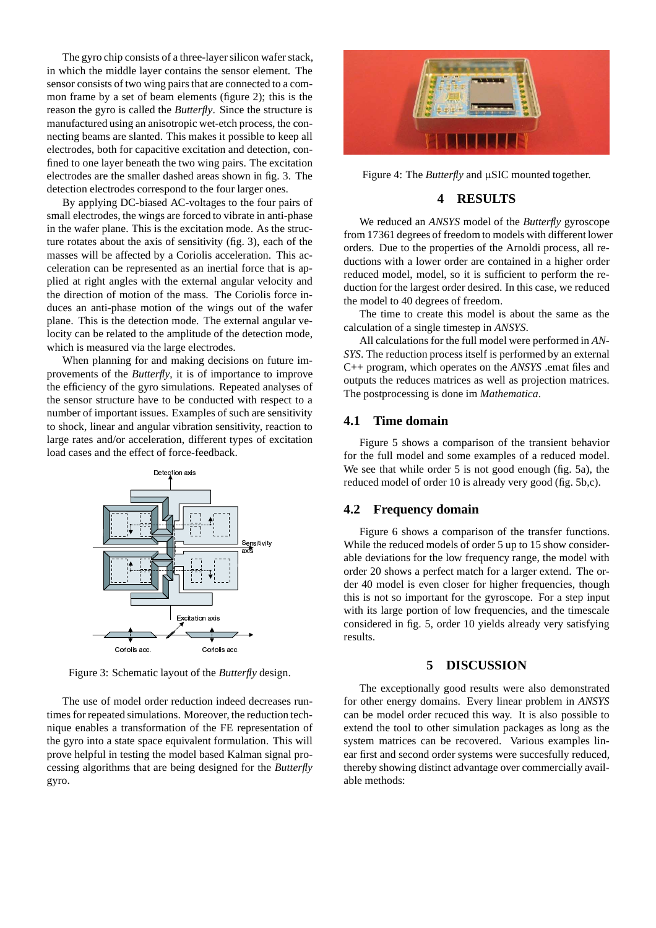The gyro chip consists of a three-layer silicon wafer stack, in which the middle layer contains the sensor element. The sensor consists of two wing pairs that are connected to a common frame by a set of beam elements (figure 2); this is the reason the gyro is called the *Butterfly*. Since the structure is manufactured using an anisotropic wet-etch process, the connecting beams are slanted. This makes it possible to keep all electrodes, both for capacitive excitation and detection, confined to one layer beneath the two wing pairs. The excitation electrodes are the smaller dashed areas shown in fig. 3. The detection electrodes correspond to the four larger ones.

By applying DC-biased AC-voltages to the four pairs of small electrodes, the wings are forced to vibrate in anti-phase in the wafer plane. This is the excitation mode. As the structure rotates about the axis of sensitivity (fig. 3), each of the masses will be affected by a Coriolis acceleration. This acceleration can be represented as an inertial force that is applied at right angles with the external angular velocity and the direction of motion of the mass. The Coriolis force induces an anti-phase motion of the wings out of the wafer plane. This is the detection mode. The external angular velocity can be related to the amplitude of the detection mode, which is measured via the large electrodes.

When planning for and making decisions on future improvements of the *Butterfly*, it is of importance to improve the efficiency of the gyro simulations. Repeated analyses of the sensor structure have to be conducted with respect to a number of important issues. Examples of such are sensitivity to shock, linear and angular vibration sensitivity, reaction to large rates and/or acceleration, different types of excitation load cases and the effect of force-feedback.



Figure 3: Schematic layout of the *Butterfly* design.

The use of model order reduction indeed decreases runtimes for repeated simulations. Moreover, the reduction technique enables a transformation of the FE representation of the gyro into a state space equivalent formulation. This will prove helpful in testing the model based Kalman signal processing algorithms that are being designed for the *Butterfly* gyro.



Figure 4: The *Butterfly* and µSIC mounted together.

## **4 RESULTS**

We reduced an *ANSYS* model of the *Butterfly* gyroscope from 17361 degrees of freedom to models with different lower orders. Due to the properties of the Arnoldi process, all reductions with a lower order are contained in a higher order reduced model, model, so it is sufficient to perform the reduction for the largest order desired. In this case, we reduced the model to 40 degrees of freedom.

The time to create this model is about the same as the calculation of a single timestep in *ANSYS*.

All calculations for the full model were performed in *AN-SYS*. The reduction process itself is performed by an external C++ program, which operates on the *ANSYS* .emat files and outputs the reduces matrices as well as projection matrices. The postprocessing is done im *Mathematica*.

### **4.1 Time domain**

Figure 5 shows a comparison of the transient behavior for the full model and some examples of a reduced model. We see that while order 5 is not good enough (fig. 5a), the reduced model of order 10 is already very good (fig. 5b,c).

#### **4.2 Frequency domain**

 $\frac{y}{x}$  While the reduced models of order 5 up to 15 show consider-Excitation axis<br>
Considered in fig. 5, order 10 yields already very satisfying<br>
Considered in fig. 5, order 10 yields already very satisfying<br>
Considered in fig. 5, order 10 yields already very satisfying Figure 6 shows a comparison of the transfer functions. able deviations for the low frequency range, the model with order 20 shows a perfect match for a larger extend. The order 40 model is even closer for higher frequencies, though this is not so important for the gyroscope. For a step input with its large portion of low frequencies, and the timescale results.

#### **5 DISCUSSION**

The exceptionally good results were also demonstrated for other energy domains. Every linear problem in *ANSYS* can be model order recuced this way. It is also possible to extend the tool to other simulation packages as long as the system matrices can be recovered. Various examples linear first and second order systems were succesfully reduced, thereby showing distinct advantage over commercially available methods: